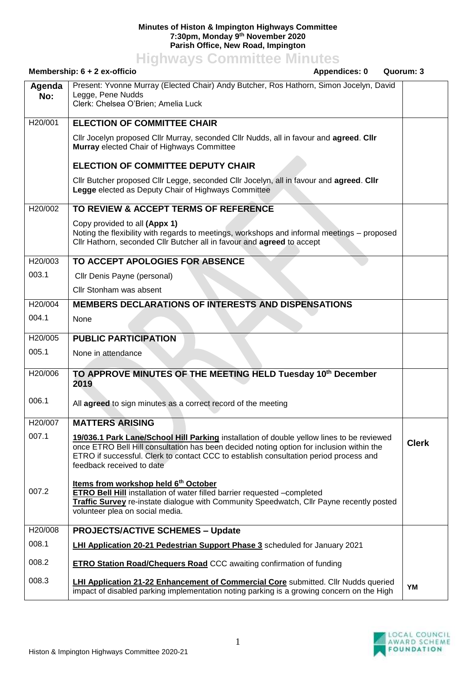## **Minutes of Histon & Impington Highways Committee 7:30pm, Monday 9th November 2020 Parish Office, New Road, Impington**

**Highways Committee Minutes**

|               | Membership: $6 + 2$ ex-officio<br><b>Appendices: 0</b><br>Quorum: 3                                                                                                                                                                                                                                         |              |
|---------------|-------------------------------------------------------------------------------------------------------------------------------------------------------------------------------------------------------------------------------------------------------------------------------------------------------------|--------------|
| Agenda<br>No: | Present: Yvonne Murray (Elected Chair) Andy Butcher, Ros Hathorn, Simon Jocelyn, David<br>Legge, Pene Nudds<br>Clerk: Chelsea O'Brien; Amelia Luck                                                                                                                                                          |              |
| H20/001       | <b>ELECTION OF COMMITTEE CHAIR</b>                                                                                                                                                                                                                                                                          |              |
|               | Cllr Jocelyn proposed Cllr Murray, seconded Cllr Nudds, all in favour and agreed. Cllr<br>Murray elected Chair of Highways Committee                                                                                                                                                                        |              |
|               | <b>ELECTION OF COMMITTEE DEPUTY CHAIR</b>                                                                                                                                                                                                                                                                   |              |
|               | Cllr Butcher proposed Cllr Legge, seconded Cllr Jocelyn, all in favour and agreed. Cllr<br>Legge elected as Deputy Chair of Highways Committee                                                                                                                                                              |              |
| H20/002       | TO REVIEW & ACCEPT TERMS OF REFERENCE                                                                                                                                                                                                                                                                       |              |
|               | Copy provided to all (Appx 1)<br>Noting the flexibility with regards to meetings, workshops and informal meetings – proposed<br>Cllr Hathorn, seconded Cllr Butcher all in favour and agreed to accept                                                                                                      |              |
| H20/003       | TO ACCEPT APOLOGIES FOR ABSENCE                                                                                                                                                                                                                                                                             |              |
| 003.1         | Cllr Denis Payne (personal)                                                                                                                                                                                                                                                                                 |              |
|               | Cllr Stonham was absent                                                                                                                                                                                                                                                                                     |              |
| H20/004       | <b>MEMBERS DECLARATIONS OF INTERESTS AND DISPENSATIONS</b>                                                                                                                                                                                                                                                  |              |
| 004.1         | None                                                                                                                                                                                                                                                                                                        |              |
| H20/005       | <b>PUBLIC PARTICIPATION</b>                                                                                                                                                                                                                                                                                 |              |
| 005.1         | None in attendance                                                                                                                                                                                                                                                                                          |              |
| H20/006       | TO APPROVE MINUTES OF THE MEETING HELD Tuesday 10th December<br>2019                                                                                                                                                                                                                                        |              |
| 006.1         | All agreed to sign minutes as a correct record of the meeting                                                                                                                                                                                                                                               |              |
| H20/007       | <b>MATTERS ARISING</b>                                                                                                                                                                                                                                                                                      |              |
| 007.1         | 19/036.1 Park Lane/School Hill Parking installation of double yellow lines to be reviewed<br>once ETRO Bell Hill consultation has been decided noting option for inclusion within the<br>ETRO if successful. Clerk to contact CCC to establish consultation period process and<br>feedback received to date | <b>Clerk</b> |
| 007.2         | Items from workshop held 6th October<br>ETRO Bell Hill installation of water filled barrier requested -completed<br>Traffic Survey re-instate dialogue with Community Speedwatch, Cllr Payne recently posted<br>volunteer plea on social media.                                                             |              |
| H20/008       | <b>PROJECTS/ACTIVE SCHEMES - Update</b>                                                                                                                                                                                                                                                                     |              |
| 008.1         | LHI Application 20-21 Pedestrian Support Phase 3 scheduled for January 2021                                                                                                                                                                                                                                 |              |
| 008.2         | <b>ETRO Station Road/Chequers Road CCC awaiting confirmation of funding</b>                                                                                                                                                                                                                                 |              |
| 008.3         | <b>LHI Application 21-22 Enhancement of Commercial Core</b> submitted. Cllr Nudds queried<br>impact of disabled parking implementation noting parking is a growing concern on the High                                                                                                                      | <b>YM</b>    |